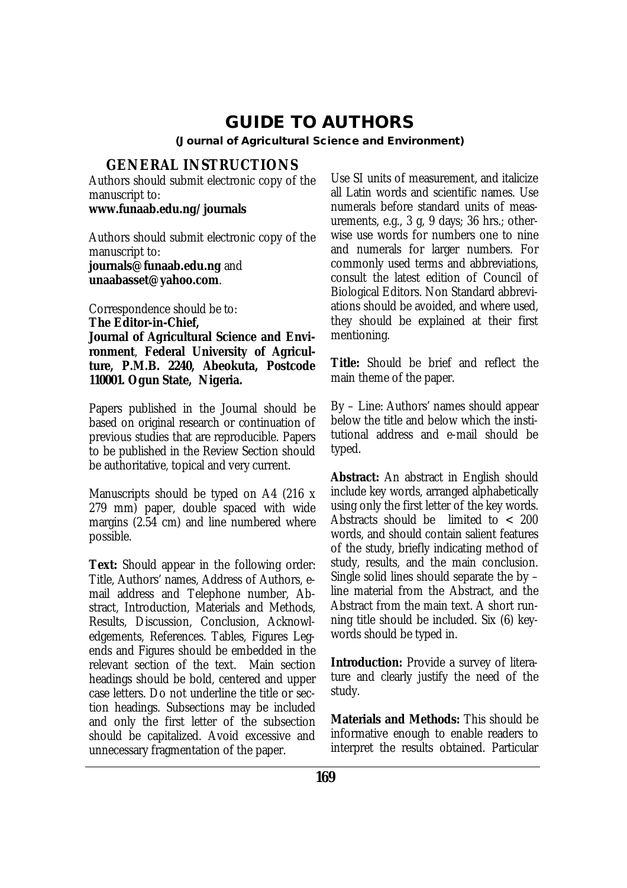# **GUIDE TO AUTHORS**

**(Journal of Agricultural Science and Environment)**

## **GENERAL INSTRUCTIONS**

Authors should submit electronic copy of the manuscript to:

**[www.funaab.edu.ng/journals](http://www.funaab.edu.ng/journals)**

Authors should submit electronic copy of the manuscript to: **[journals@funaab.edu.ng](mailto:journals@funaab.edu.ng)** and

**[unaabasset@yahoo.com](mailto:unaabasset@yahoo.com)**.

Correspondence should be to: **The Editor-in-Chief, Journal of Agricultural Science and Environment**, **Federal University of Agriculture, P.M.B. 2240, Abeokuta, Postcode 110001. Ogun State, Nigeria.**

Papers published in the Journal should be based on original research or continuation of previous studies that are reproducible. Papers to be published in the Review Section should be authoritative, topical and very current.

Manuscripts should be typed on A4 (216 x 279 mm) paper, double spaced with wide margins (2.54 cm) and line numbered where possible.

**Text:** Should appear in the following order: Title, Authors' names, Address of Authors, email address and Telephone number, Abstract, Introduction, Materials and Methods, Results, Discussion, Conclusion, Acknowledgements, References. Tables, Figures Legends and Figures should be embedded in the relevant section of the text. Main section headings should be bold, centered and upper case letters. Do not underline the title or section headings. Subsections may be included and only the first letter of the subsection should be capitalized. Avoid excessive and unnecessary fragmentation of the paper.

Use SI units of measurement, and italicize all Latin words and scientific names. Use numerals before standard units of measurements, e.g., 3 g, 9 days; 36 hrs.; otherwise use words for numbers one to nine and numerals for larger numbers. For commonly used terms and abbreviations, consult the latest edition of Council of Biological Editors. Non Standard abbreviations should be avoided, and where used, they should be explained at their first mentioning.

**Title:** Should be brief and reflect the main theme of the paper.

By – Line: Authors' names should appear below the title and below which the institutional address and e-mail should be typed.

**Abstract:** An abstract in English should include key words, arranged alphabetically using only the first letter of the key words. Abstracts should be limited to < 200 words, and should contain salient features of the study, briefly indicating method of study, results, and the main conclusion. Single solid lines should separate the by – line material from the Abstract, and the Abstract from the main text. A short running title should be included. Six (6) keywords should be typed in.

**Introduction:** Provide a survey of literature and clearly justify the need of the study.

**Materials and Methods:** This should be informative enough to enable readers to interpret the results obtained. Particular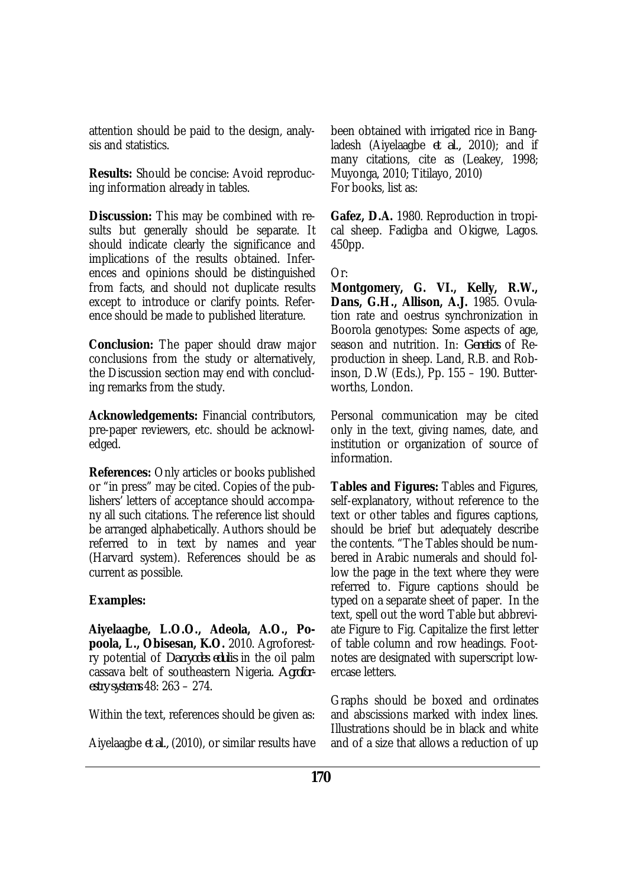attention should be paid to the design, analysis and statistics.

**Results:** Should be concise: Avoid reproducing information already in tables.

**Discussion:** This may be combined with results but generally should be separate. It should indicate clearly the significance and implications of the results obtained. Inferences and opinions should be distinguished from facts, and should not duplicate results except to introduce or clarify points. Reference should be made to published literature.

**Conclusion:** The paper should draw major conclusions from the study or alternatively, the Discussion section may end with concluding remarks from the study.

**Acknowledgements:** Financial contributors, pre-paper reviewers, etc. should be acknowledged.

**References:** Only articles or books published or "in press" may be cited. Copies of the publishers' letters of acceptance should accompany all such citations. The reference list should be arranged alphabetically. Authors should be referred to in text by names and year (Harvard system). References should be as current as possible.

#### **Examples:**

**Aiyelaagbe, L.O.O., Adeola, A.O., Popoola, L., Obisesan, K.O.** 2010. Agroforestry potential of *Dacryodes edulis* in the oil palm cassava belt of southeastern Nigeria. *Agroforestry systems* 48: 263 – 274.

Within the text, references should be given as:

Aiyelaagbe *et al.,* (2010), or similar results have

been obtained with irrigated rice in Bangladesh (Aiyelaagbe *et al.,* 2010); and if many citations, cite as (Leakey, 1998; Muyonga, 2010; Titilayo, 2010) For books, list as:

**Gafez, D.A.** 1980. Reproduction in tropical sheep. Fadigba and Okigwe, Lagos. 450pp.

Or:

**Montgomery, G. VI., Kelly, R.W., Dans, G.H., Allison, A.J.** 1985. Ovulation rate and oestrus synchronization in Boorola genotypes: Some aspects of age, season and nutrition. In: *Genetics* of Reproduction in sheep. Land, R.B. and Robinson, D.W (Eds.), Pp. 155 – 190. Butterworths, London.

Personal communication may be cited only in the text, giving names, date, and institution or organization of source of information.

**Tables and Figures:** Tables and Figures, self-explanatory, without reference to the text or other tables and figures captions, should be brief but adequately describe the contents. "The Tables should be numbered in Arabic numerals and should follow the page in the text where they were referred to. Figure captions should be typed on a separate sheet of paper. In the text, spell out the word Table but abbreviate Figure to Fig. Capitalize the first letter of table column and row headings. Footnotes are designated with superscript lowercase letters.

Graphs should be boxed and ordinates and abscissions marked with index lines. Illustrations should be in black and white and of a size that allows a reduction of up